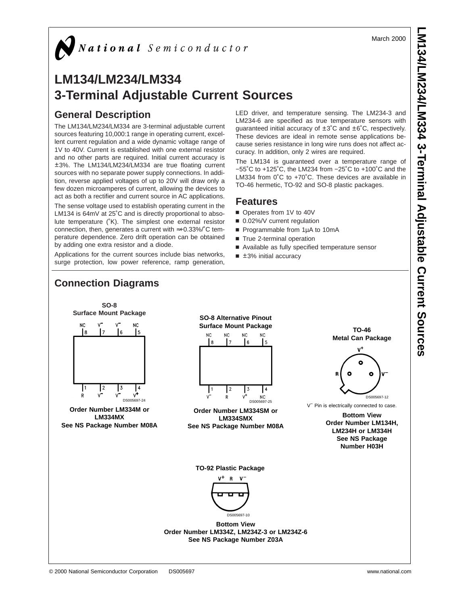March 2000



# **LM134/LM234/LM334 3-Terminal Adjustable Current Sources**

## **General Description**

**Connection Diagrams**

The LM134/LM234/LM334 are 3-terminal adjustable current sources featuring 10,000:1 range in operating current, excellent current regulation and a wide dynamic voltage range of 1V to 40V. Current is established with one external resistor and no other parts are required. Initial current accuracy is ±3%. The LM134/LM234/LM334 are true floating current sources with no separate power supply connections. In addition, reverse applied voltages of up to 20V will draw only a few dozen microamperes of current, allowing the devices to act as both a rectifier and current source in AC applications.

The sense voltage used to establish operating current in the LM134 is 64mV at 25˚C and is directly proportional to absolute temperature (˚K). The simplest one external resistor connection, then, generates a current with ≈+0.33%/˚C temperature dependence. Zero drift operation can be obtained by adding one extra resistor and a diode.

Applications for the current sources include bias networks, surge protection, low power reference, ramp generation, LED driver, and temperature sensing. The LM234-3 and LM234-6 are specified as true temperature sensors with guaranteed initial accuracy of ±3˚C and ±6˚C, respectively. These devices are ideal in remote sense applications because series resistance in long wire runs does not affect accuracy. In addition, only 2 wires are required.

The LM134 is guaranteed over a temperature range of −55˚C to +125˚C, the LM234 from −25˚C to +100˚C and the LM334 from 0˚C to +70˚C. These devices are available in TO-46 hermetic, TO-92 and SO-8 plastic packages.

## **Features**

- Operates from 1V to 40V
- 0.02%/V current regulation
- Programmable from 1µA to 10mA
- True 2-terminal operation
- Available as fully specified temperature sensor
- $\blacksquare$  ±3% initial accuracy

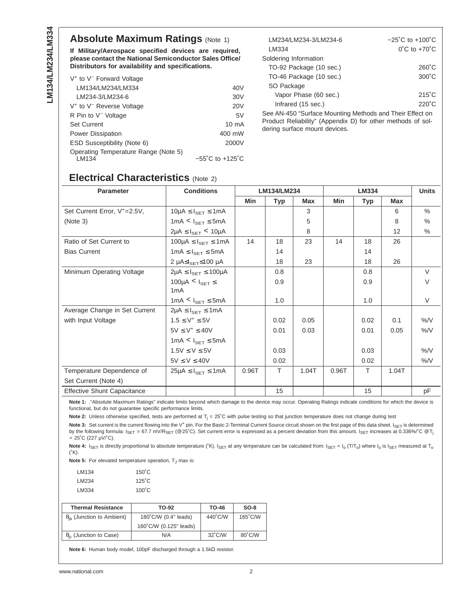## **Absolute Maximum Ratings (Note 1)**

**If Military/Aerospace specified devices are required, please contact the National Semiconductor Sales Office/ Distributors for availability and specifications.**

| V <sup>+</sup> to V <sup>-</sup> Forward Voltage |                                     |
|--------------------------------------------------|-------------------------------------|
| LM134/LM234/LM334                                | 40V                                 |
| LM234-3/LM234-6                                  | 30V                                 |
| V <sup>+</sup> to V <sup>-</sup> Reverse Voltage | 20 <sub>V</sub>                     |
| R Pin to V <sup>-</sup> Voltage                  | 5V                                  |
| <b>Set Current</b>                               | $10 \text{ mA}$                     |
| Power Dissipation                                | 400 mW                              |
| ESD Susceptibility (Note 6)                      | 2000V                               |
| Operating Temperature Range (Note 5)<br>I M134   | $-55^{\circ}$ C to $+125^{\circ}$ C |

| LM234/LM234-3/LM234-6                                    | $-25^{\circ}$ C to $+100^{\circ}$ C |
|----------------------------------------------------------|-------------------------------------|
| LM334                                                    | $0^{\circ}$ C to $+70^{\circ}$ C    |
| Soldering Information                                    |                                     |
| TO-92 Package (10 sec.)                                  | $260^{\circ}$ C                     |
| TO-46 Package (10 sec.)                                  | $300^{\circ}$ C                     |
| SO Package                                               |                                     |
| Vapor Phase (60 sec.)                                    | $215^{\circ}$ C                     |
| Infrared (15 sec.)                                       | $220^{\circ}$ C                     |
| See AN-450 "Surface Mounting Methods and Their Effect on |                                     |

Product Reliability" (Appendix D) for other methods of soldering surface mount devices.

## **Electrical Characteristics** (Note 2)

| <b>Parameter</b>                         | <b>Conditions</b>                                  | LM134/LM234 |        |            | LM334 |            |            | <b>Units</b>  |
|------------------------------------------|----------------------------------------------------|-------------|--------|------------|-------|------------|------------|---------------|
|                                          |                                                    | Min         | Typ    | <b>Max</b> | Min   | <b>Typ</b> | <b>Max</b> |               |
| Set Current Error, V <sup>+</sup> =2.5V, | $10\mu A \leq I_{\text{SET}} \leq 1 \text{mA}$     |             |        | 3          |       |            | 6          | $\%$          |
| (Note 3)                                 | 1mA $\leq$ $I_{\text{SET}}$ $\leq$ 5mA             |             |        | 5          |       |            | 8          | $\frac{0}{0}$ |
|                                          | $2\mu A \leq I_{\text{SFT}}$ < 10 $\mu A$          |             |        | 8          |       |            | 12         | $\frac{0}{0}$ |
| Ratio of Set Current to                  | $100\mu A \leq I_{\text{SFT}} \leq 1 \text{mA}$    | 14          | 18     | 23         | 14    | 18         | 26         |               |
| <b>Bias Current</b>                      | $1 \text{mA} \leq I_{\text{SFT}} \leq 5 \text{mA}$ |             | 14     |            |       | 14         |            |               |
|                                          | 2 μ $A≤ISET≤100$ μA                                |             | 18     | 23         |       | 18         | 26         |               |
| Minimum Operating Voltage                | $2\mu A \leq I_{\text{SFT}} \leq 100\mu A$         |             | 0.8    |            |       | 0.8        |            | V             |
|                                          | 100µA < $I_{\text{SET}} \leq$                      |             | 0.9    |            |       | 0.9        |            | V             |
|                                          | 1 <sub>m</sub> A                                   |             |        |            |       |            |            |               |
|                                          | 1mA $\leq$ $I_{\text{SET}}$ $\leq$ 5mA             |             | 1.0    |            |       | 1.0        |            | V             |
| Average Change in Set Current            | $2\mu A \leq I_{SET} \leq 1mA$                     |             |        |            |       |            |            |               |
| with Input Voltage                       | $1.5 \le V^+ \le 5V$                               |             | 0.02   | 0.05       |       | 0.02       | 0.1        | $%$ /V        |
|                                          | $5V \leq V^+ \leq 40V$                             |             | 0.01   | 0.03       |       | 0.01       | 0.05       | %N            |
|                                          | $1mA < I_{SET} \le 5mA$                            |             |        |            |       |            |            |               |
|                                          | $1.5V \le V \le 5V$                                |             | 0.03   |            |       | 0.03       |            | %N            |
|                                          | $5V \le V \le 40V$                                 |             | 0.02   |            |       | 0.02       |            | %N            |
| Temperature Dependence of                | $25\mu$ A $\leq$ $I_{\text{SET}}$ $\leq$ 1mA       | 0.96T       | $\top$ | 1.04T      | 0.96T | T          | 1.04T      |               |
| Set Current (Note 4)                     |                                                    |             |        |            |       |            |            |               |
| <b>Effective Shunt Capacitance</b>       |                                                    |             | 15     |            |       | 15         |            | pF            |

**Note 1:** ."Absolute Maximum Ratings" indicate limits beyond which damage to the device may occur. Operating Ratings indicate conditions for which the device is functional, but do not guarantee specific performance limits.

**Note 2:** Unless otherwise specified, tests are performed at  $T_j = 25^\circ C$  with pulse testing so that junction temperature does not change during test

Note 3: Set current is the current flowing into the V<sup>+</sup> pin. For the Basic 2-Terminal Current Source circuit shown on the first page of this data sheet. I<sub>SET</sub> is determined by the following formula:  $I_{\text{SET}} = 67.7$  mV/R<sub>SET</sub> (@ 25°C). Set current error is expressed as a percent deviation from this amount.  $I_{\text{SET}}$  increases at 0.336%/°C @ T<sub>j</sub>  $= 25^{\circ}$ C (227 µV/ $^{\circ}$ C).

Note 4: I<sub>SET</sub> is directly proportional to absolute temperature (°K). I<sub>SET</sub> at any temperature can be calculated from: I<sub>SET</sub> = I<sub>o</sub> (T/T<sub>o</sub>) where I<sub>o</sub> is I<sub>SET</sub> measured at T<sub>o</sub>  $(^{\circ}K)$ .

**Note 5:** For elevated temperature operation, T<sub>J</sub> max is:

| LM134 | $150^{\circ}$ C |
|-------|-----------------|
| LM234 | $125^{\circ}$ C |
| LM334 | $100^{\circ}$ C |

| <b>Thermal Resistance</b>               | TO-92                  | TO-46            | $SO-8$            |
|-----------------------------------------|------------------------|------------------|-------------------|
| $\theta_{ia}$ (Junction to Ambient)     | 180°C/W (0.4" leads)   | 440°C/W          | $165^{\circ}$ C/W |
|                                         | 160°C/W (0.125" leads) |                  |                   |
| $\theta_{\text{ic}}$ (Junction to Case) | N/A                    | $32^{\circ}$ C/W | 80°C/W            |

**Note 6:** Human body model, 100pF discharged through a 1.5kΩ resistor.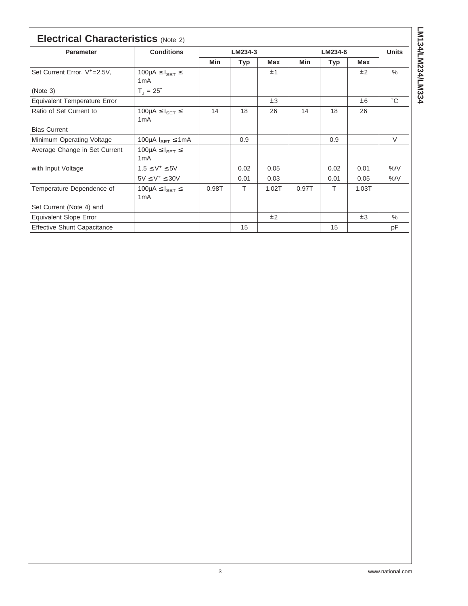| <b>Electrical Characteristics (Note 2)</b> |                                                          |         |            |            |         |      |            |               |
|--------------------------------------------|----------------------------------------------------------|---------|------------|------------|---------|------|------------|---------------|
| Parameter                                  | <b>Conditions</b>                                        | LM234-3 |            |            | LM234-6 |      |            | <b>Units</b>  |
|                                            |                                                          | Min     | <b>Typ</b> | <b>Max</b> | Min     | Typ  | <b>Max</b> |               |
| Set Current Error, V <sup>+</sup> =2.5V,   | $100\mu A \leq I_{\text{SET}} \leq$<br>1 <sub>m</sub> A  |         |            | ±1         |         |      | ±2         | $\%$          |
| (Note 3)                                   | $T_{J} = 25^{\circ}$                                     |         |            |            |         |      |            |               |
| Equivalent Temperature Error               |                                                          |         |            | ±3         |         |      | ±6         | °С            |
| Ratio of Set Current to                    | 100µA $\leq$ $I_{\text{SET}}$ $\leq$<br>1 <sub>m</sub> A | 14      | 18         | 26         | 14      | 18   | 26         |               |
| <b>Bias Current</b>                        |                                                          |         |            |            |         |      |            |               |
| Minimum Operating Voltage                  | 100µA $I_{\text{SET}} \le 1 \text{mA}$                   |         | 0.9        |            |         | 0.9  |            | V             |
| Average Change in Set Current              | 100µA $\leq$ $I_{\text{SET}} \leq$<br>1 <sub>m</sub> A   |         |            |            |         |      |            |               |
| with Input Voltage                         | $1.5 \le V^+ \le 5V$                                     |         | 0.02       | 0.05       |         | 0.02 | 0.01       | $\frac{9}{6}$ |
|                                            | $5V \leq V^+ \leq 30V$                                   |         | 0.01       | 0.03       |         | 0.01 | 0.05       | $\%$ /V       |
| Temperature Dependence of                  | 100µA $\leq$ $I_{\text{SET}} \leq$<br>1 <sub>m</sub> A   | 0.98T   | T.         | 1.02T      | 0.97T   | T.   | 1.03T      |               |
| Set Current (Note 4) and                   |                                                          |         |            |            |         |      |            |               |
| <b>Equivalent Slope Error</b>              |                                                          |         |            | ±2         |         |      | ±3         | $\%$          |
| <b>Effective Shunt Capacitance</b>         |                                                          |         | 15         |            |         | 15   |            | рF            |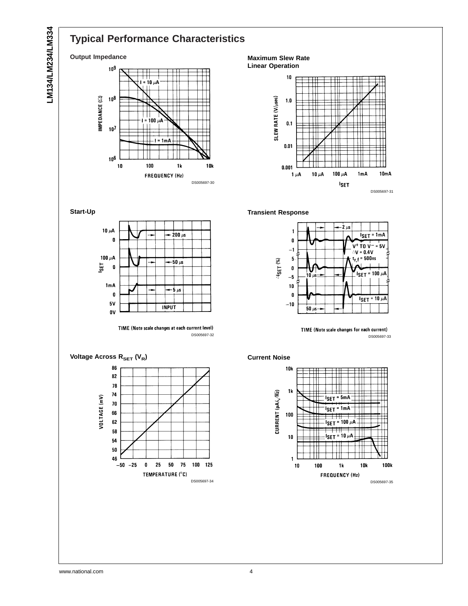## **Typical Performance Characteristics**

### **Output Impedance**



**Maximum Slew Rate Linear Operation**



**Transient Response**



TIME (Note scale changes for each current) DS005697-33







**Start-Up**



TIME (Note scale changes at each current level) DS005697-32



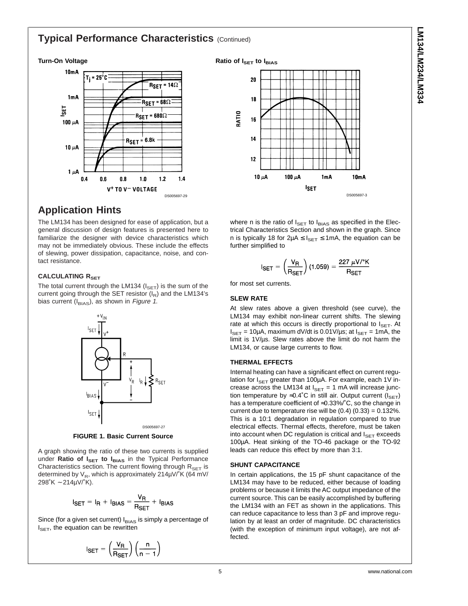## **Typical Performance Characteristics (Continued)**

#### **Turn-On Voltage**



## **Application Hints**

The LM134 has been designed for ease of application, but a general discussion of design features is presented here to familiarize the designer with device characteristics which may not be immediately obvious. These include the effects of slewing, power dissipation, capacitance, noise, and contact resistance.

#### **CALCULATING RSET**

The total current through the LM134 ( $I_{\text{SET}}$ ) is the sum of the current going through the SET resistor  $(I_R)$  and the LM134's bias current ( $I_{BIAS}$ ), as shown in Figure 1.



**FIGURE 1. Basic Current Source**

A graph showing the ratio of these two currents is supplied under **Ratio of I<sub>SET</sub> to I<sub>BIAS</sub>** in the Typical Performance Characteristics section. The current flowing through  $R_{\text{SET}}$  is determined by  $V_R$ , which is approximately 214 $\mu$ V/ $K$  (64 mV/ 298˚K ∼ 214µV/˚K).

$$
I_{\text{SET}} = I_{\text{R}} + I_{\text{BIAS}} = \frac{V_{\text{R}}}{R_{\text{SET}}} + I_{\text{BIAS}}
$$

Since (for a given set current)  $I<sub>BIAS</sub>$  is simply a percentage of  $I_{\text{SET}}$ , the equation can be rewritten

$$
I_{\text{SET}} = \left(\frac{V_{\text{R}}}{R_{\text{SET}}}\right) \left(\frac{n}{n-1}\right)
$$

### **Ratio of ISET to IBIAS**



where n is the ratio of  $I_{\text{SET}}$  to  $I_{\text{BIAS}}$  as specified in the Electrical Characteristics Section and shown in the graph. Since n is typically 18 for  $2\mu A \leq I_{\text{SET}} \leq 1 \text{mA}$ , the equation can be further simplified to

$$
I_{\text{SET}} = \left(\frac{V_{\text{R}}}{R_{\text{SET}}}\right) (1.059) = \frac{227 \ \mu \text{V} / \text{°K}}{R_{\text{SET}}}
$$

for most set currents.

#### **SLEW RATE**

At slew rates above a given threshold (see curve), the LM134 may exhibit non-linear current shifts. The slewing rate at which this occurs is directly proportional to  $I_{\text{SET}}$ . At  $I_{\text{SET}} = 10 \mu\text{A}$ , maximum dV/dt is 0.01V/ $\mu$ s; at  $I_{\text{SET}} = 1 \text{mA}$ , the limit is 1V/µs. Slew rates above the limit do not harm the LM134, or cause large currents to flow.

#### **THERMAL EFFECTS**

Internal heating can have a significant effect on current regulation for  $I_{\text{SET}}$  greater than 100µA. For example, each 1V increase across the LM134 at  $I_{\text{SET}} = 1$  mA will increase junction temperature by ≈0.4°C in still air. Output current ( $I_{\text{SET}}$ ) has a temperature coefficient of ≈0.33%/˚C, so the change in current due to temperature rise will be  $(0.4)$   $(0.33) = 0.132\%$ . This is a 10:1 degradation in regulation compared to true electrical effects. Thermal effects, therefore, must be taken into account when DC regulation is critical and  $I_{\text{SET}}$  exceeds 100µA. Heat sinking of the TO-46 package or the TO-92 leads can reduce this effect by more than 3:1.

#### **SHUNT CAPACITANCE**

In certain applications, the 15 pF shunt capacitance of the LM134 may have to be reduced, either because of loading problems or because it limits the AC output impedance of the current source. This can be easily accomplished by buffering the LM134 with an FET as shown in the applications. This can reduce capacitance to less than 3 pF and improve regulation by at least an order of magnitude. DC characteristics (with the exception of minimum input voltage), are not affected.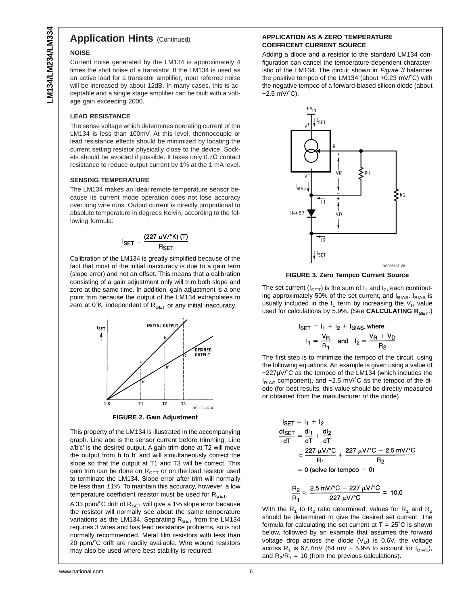## **Application Hints (Continued)**

#### **NOISE**

Current noise generated by the LM134 is approximately 4 times the shot noise of a transistor. If the LM134 is used as an active load for a transistor amplifier, input referred noise will be increased by about 12dB. In many cases, this is acceptable and a single stage amplifier can be built with a voltage gain exceeding 2000.

#### **LEAD RESISTANCE**

The sense voltage which determines operating current of the LM134 is less than 100mV. At this level, thermocouple or lead resistance effects should be minimized by locating the current setting resistor physically close to the device. Sockets should be avoided if possible. It takes only 0.7Ω contact resistance to reduce output current by 1% at the 1 mA level.

#### **SENSING TEMPERATURE**

The LM134 makes an ideal remote temperature sensor because its current mode operation does not lose accuracy over long wire runs. Output current is directly proportional to absolute temperature in degrees Kelvin, according to the following formula:

$$
I_{\text{SET}} = \frac{(227 \ \mu\text{V} / \text{°K}) (T)}{R_{\text{SET}}}
$$

Calibration of the LM134 is greatly simplified because of the fact that most of the initial inaccuracy is due to a gain term (slope error) and not an offset. This means that a calibration consisting of a gain adjustment only will trim both slope and zero at the same time. In addition, gain adjustment is a one point trim because the output of the LM134 extrapolates to zero at 0°K, independent of  $R_{\text{SET}}$  or any initial inaccuracy.



This property of the LM134 is illustrated in the accompanying graph. Line abc is the sensor current before trimming. Line a'b'c' is the desired output. A gain trim done at T2 will move the output from b to b' and will simultaneously correct the slope so that the output at T1 and T3 will be correct. This gain trim can be done on  $R_{\text{SET}}$  or on the load resistor used to terminate the LM134. Slope error after trim will normally be less than ±1%. To maintain this accuracy, however, a low temperature coefficient resistor must be used for  $R_{\text{SFT}}$ .

A 33 ppm/ $^{\circ}$ C drift of R<sub>SET</sub> will give a 1% slope error because the resistor will normally see about the same temperature variations as the LM134. Separating  $R_{\text{SET}}$  from the LM134 requires 3 wires and has lead resistance problems, so is not normally recommended. Metal film resistors with less than 20 ppm/˚C drift are readily available. Wire wound resistors may also be used where best stability is required.

#### **APPLICATION AS A ZERO TEMPERATURE COEFFICENT CURRENT SOURCE**

Adding a diode and a resistor to the standard LM134 configuration can cancel the temperature-dependent characteristic of the LM134. The circuit shown in Figure 3 balances the positive tempco of the LM134 (about +0.23 mV/˚C) with the negative tempco of a forward-biased silicon diode (about −2.5 mV/˚C).



**FIGURE 3. Zero Tempco Current Source**

The set current ( $I_{\text{SET}}$ ) is the sum of  $I_1$  and  $I_2$ , each contributing approximately 50% of the set current, and IBIAS. IBIAS is usually included in the  $I_1$  term by increasing the  $V_R$  value used for calculations by 5.9%. (See CALCULATING R<sub>SET</sub>.)

$$
SET = I_1 + I_2 + I_{BIAS, where}
$$
  

$$
I_1 = \frac{V_R}{R_1} \text{ and } I_2 = \frac{V_R + V_D}{R_2}
$$

The first step is to minimize the tempco of the circuit, using the following equations. An example is given using a value of +227µV/˚C as the tempco of the LM134 (which includes the IBIAS component), and −2.5 mV/˚C as the tempco of the diode (for best results, this value should be directly measured or obtained from the manufacturer of the diode).

$$
I_{\text{SET}} = I_1 + I_2
$$
  
\n
$$
\frac{dI_{\text{SET}}}{dT} = \frac{dI_1}{dT} + \frac{dI_2}{dT}
$$
  
\n
$$
\approx \frac{227 \mu V^{\circ}C}{R_1} + \frac{227 \mu V^{\circ}C - 2.5 \text{ mV}^{\circ}C}{R_2}
$$
  
\n= 0 (solve for tempo = 0)

$$
\frac{R_2}{R_1} \approx \frac{2.5 \text{ mV} / \text{°C} - 227 \text{ }\mu\text{V} / \text{°C}}{227 \text{ }\mu\text{V} / \text{°C}} \approx 10.0
$$

With the  $R_1$  to  $R_2$  ratio determined, values for  $R_1$  and  $R_2$ should be determined to give the desired set current. The formula for calculating the set current at  $T = 25^{\circ}$ C is shown below, followed by an example that assumes the forward voltage drop across the diode  $(V_D)$  is 0.6V, the voltage across R<sub>1</sub> is 67.7mV (64 mV + 5.9% to account for  $I_{BIAS}$ ), and  $R_2/R_1 = 10$  (from the previous calculations).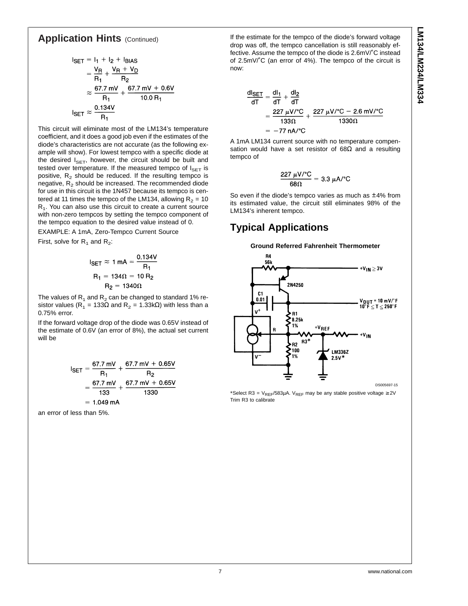## **Application Hints (Continued)**

$$
I_{\text{SET}} = I_1 + I_2 + I_{\text{BIAS}}
$$
  
=  $\frac{V_{\text{R}}}{R_1} + \frac{V_{\text{R}} + V_{\text{D}}}{R_2}$   
 $\approx \frac{67.7 \text{ mV}}{R_1} + \frac{67.7 \text{ mV} + 0.6 \text{V}}{10.0 \text{ R}_1}$   

$$
I_{\text{SET}} \approx \frac{0.134 \text{ V}}{R_1}
$$

This circuit will eliminate most of the LM134's temperature coefficient, and it does a good job even if the estimates of the diode's characteristics are not accurate (as the following example will show). For lowest tempco with a specific diode at the desired  $I_{\text{SET}}$ , however, the circuit should be built and tested over temperature. If the measured tempco of  $I_{\text{SET}}$  is positive,  $R_2$  should be reduced. If the resulting tempco is negative,  $R<sub>2</sub>$  should be increased. The recommended diode for use in this circuit is the 1N457 because its tempco is centered at 11 times the tempco of the LM134, allowing  $R<sub>2</sub> = 10$  $R<sub>1</sub>$ . You can also use this circuit to create a current source with non-zero tempcos by setting the tempco component of the tempco equation to the desired value instead of 0.

EXAMPLE: A 1mA, Zero-Tempco Current Source

First, solve for  $R_1$  and  $R_2$ :

$$
I_{\text{SET}} \approx 1 \text{ mA} = \frac{0.134 \text{V}}{R_1}
$$

$$
R_1 = 134 \Omega = 10 R_2
$$

$$
R_2 = 1340 \Omega
$$

The values of  $R_1$  and  $R_2$  can be changed to standard 1% resistor values (R<sub>1</sub> = 133Ω and R<sub>2</sub> = 1.33kΩ) with less than a 0.75% error.

If the forward voltage drop of the diode was 0.65V instead of the estimate of 0.6V (an error of 8%), the actual set current will be

$$
I_{\text{SET}} = \frac{67.7 \text{ mV}}{R_1} + \frac{67.7 \text{ mV} + 0.65 \text{V}}{R_2}
$$
  
=  $\frac{67.7 \text{ mV}}{133} + \frac{67.7 \text{ mV} + 0.65 \text{V}}{1330}$   
= 1.049 mA

an error of less than 5%.

If the estimate for the tempco of the diode's forward voltage drop was off, the tempco cancellation is still reasonably effective. Assume the tempco of the diode is 2.6mV/˚C instead of 2.5mV/°C (an error of 4%). The tempco of the circuit is now:

$$
\frac{dI_{\text{SET}}}{dT} = \frac{dl_1}{dT} + \frac{dl_2}{dT}
$$
  
= 
$$
\frac{227 \ \mu\text{V} / \text{°C}}{133 \Omega} + \frac{227 \ \mu\text{V} / \text{°C} - 2.6 \ \text{mV} / \text{°C}}{1330 \Omega}
$$
  
= -77 nA/°C

A 1mA LM134 current source with no temperature compensation would have a set resistor of  $68\Omega$  and a resulting tempco of

$$
\frac{227 \ \mu\text{V/}^{\circ}\text{C}}{68 \Omega} = 3.3 \ \mu\text{A/}^{\circ}\text{C}
$$

So even if the diode's tempco varies as much as ±4% from its estimated value, the circuit still eliminates 98% of the LM134's inherent tempco.

## **Typical Applications**



\*Select R3 =  $V_{REF}/583\mu A$ . V<sub>REF</sub> may be any stable positive voltage  $\geq 2V$ Trim R3 to calibrate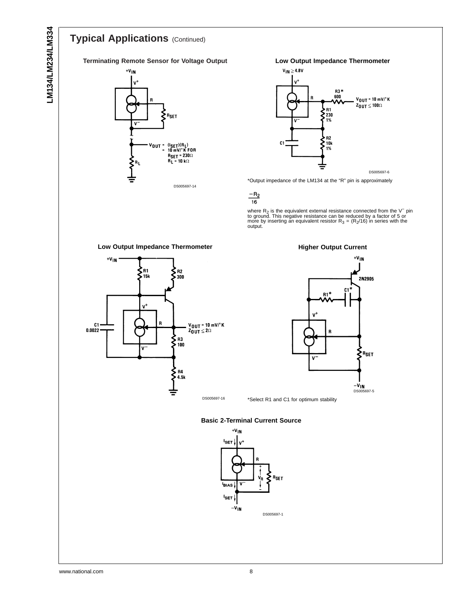## **Typical Applications** (Continued)

**Terminating Remote Sensor for Voltage Output**



**Low Output Impedance Thermometer**

![](_page_7_Figure_5.jpeg)

\*Output impedance of the LM134 at the "R" pin is approximately

 $\frac{-R_2}{16}$ 

where R<sub>2</sub> is the equivalent external resistance connected from the V<sup>−</sup> pinto ground. This negative resistance can be reduced by a factor of 5 or more by inserting an equivalent resistor R<sub>3</sub> = (R<sub>2</sub>/16) in series with t

![](_page_7_Figure_9.jpeg)

![](_page_7_Figure_10.jpeg)

**Basic 2-Terminal Current Source**

![](_page_7_Figure_12.jpeg)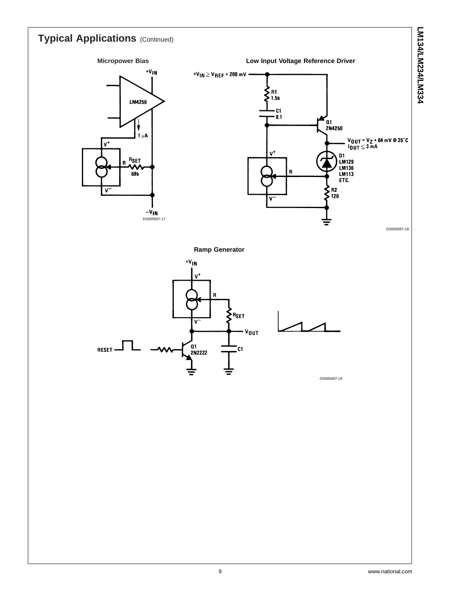![](_page_8_Figure_0.jpeg)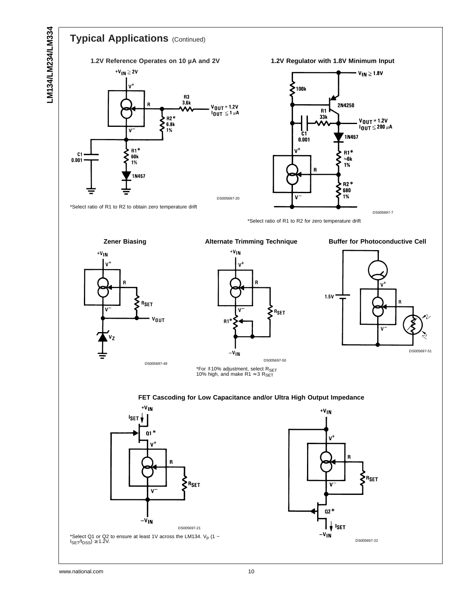![](_page_9_Figure_1.jpeg)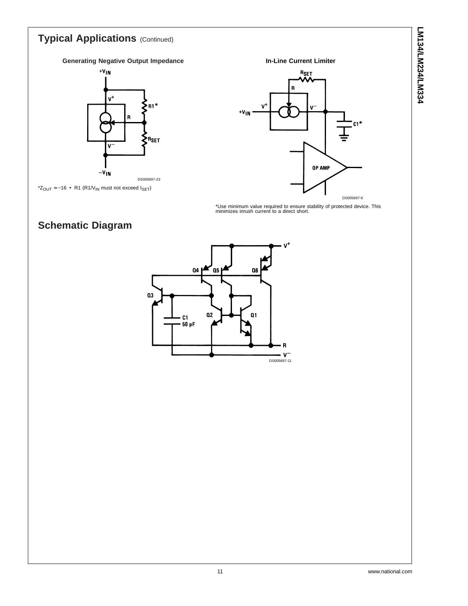# **Typical Applications** (Continued) **Generating Negative Output Impedance** +V<sub>IN</sub>

![](_page_10_Figure_2.jpeg)

![](_page_10_Figure_3.jpeg)

\*Use minimum value required to ensure stability of protected device. This minimizes inrush current to a direct short.

## **Schematic Diagram**

![](_page_10_Figure_6.jpeg)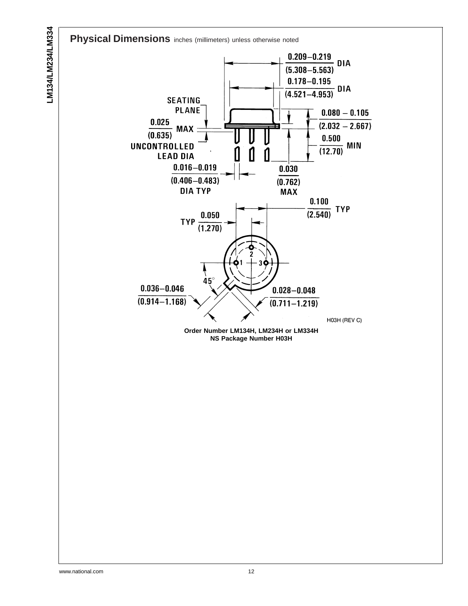**Physical Dimensions** inches (millimeters) unless otherwise noted

![](_page_11_Figure_1.jpeg)

**NS Package Number H03H**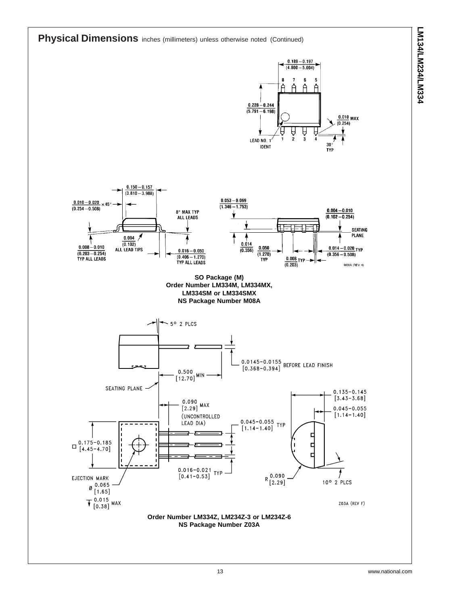![](_page_12_Figure_1.jpeg)

 $0.150 - 0.157$ 

![](_page_12_Figure_2.jpeg)

![](_page_12_Figure_3.jpeg)

![](_page_12_Figure_4.jpeg)

**NS Package Number Z03A**